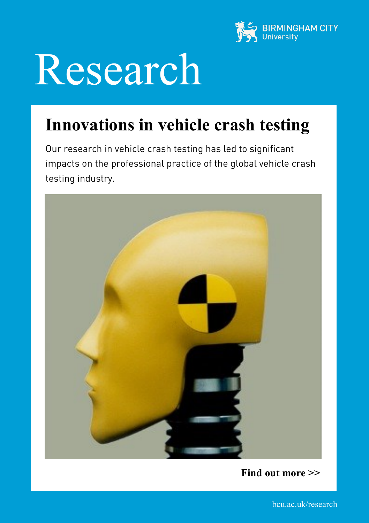

## Research

## **Innovations in vehicle crash testing**

Our research in vehicle crash testing has led to significant impacts on the professional practice of the global vehicle crash testing industry.



**Find out more >>**